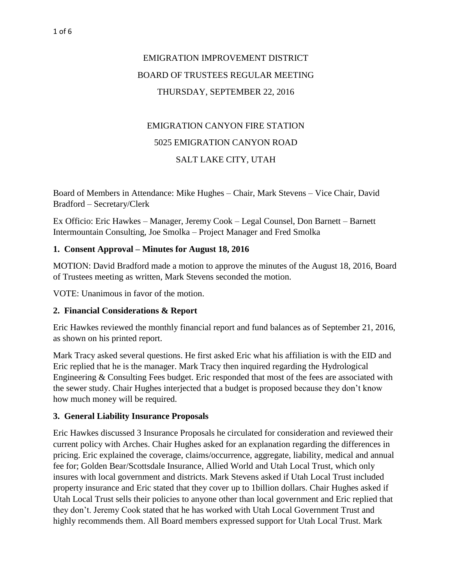# EMIGRATION IMPROVEMENT DISTRICT BOARD OF TRUSTEES REGULAR MEETING THURSDAY, SEPTEMBER 22, 2016

## EMIGRATION CANYON FIRE STATION 5025 EMIGRATION CANYON ROAD SALT LAKE CITY, UTAH

Board of Members in Attendance: Mike Hughes – Chair, Mark Stevens – Vice Chair, David Bradford – Secretary/Clerk

Ex Officio: Eric Hawkes – Manager, Jeremy Cook – Legal Counsel, Don Barnett – Barnett Intermountain Consulting, Joe Smolka – Project Manager and Fred Smolka

### **1. Consent Approval – Minutes for August 18, 2016**

MOTION: David Bradford made a motion to approve the minutes of the August 18, 2016, Board of Trustees meeting as written, Mark Stevens seconded the motion.

VOTE: Unanimous in favor of the motion.

#### **2. Financial Considerations & Report**

Eric Hawkes reviewed the monthly financial report and fund balances as of September 21, 2016, as shown on his printed report.

Mark Tracy asked several questions. He first asked Eric what his affiliation is with the EID and Eric replied that he is the manager. Mark Tracy then inquired regarding the Hydrological Engineering & Consulting Fees budget. Eric responded that most of the fees are associated with the sewer study. Chair Hughes interjected that a budget is proposed because they don't know how much money will be required.

#### **3. General Liability Insurance Proposals**

Eric Hawkes discussed 3 Insurance Proposals he circulated for consideration and reviewed their current policy with Arches. Chair Hughes asked for an explanation regarding the differences in pricing. Eric explained the coverage, claims/occurrence, aggregate, liability, medical and annual fee for; Golden Bear/Scottsdale Insurance, Allied World and Utah Local Trust, which only insures with local government and districts. Mark Stevens asked if Utah Local Trust included property insurance and Eric stated that they cover up to 1billion dollars. Chair Hughes asked if Utah Local Trust sells their policies to anyone other than local government and Eric replied that they don't. Jeremy Cook stated that he has worked with Utah Local Government Trust and highly recommends them. All Board members expressed support for Utah Local Trust. Mark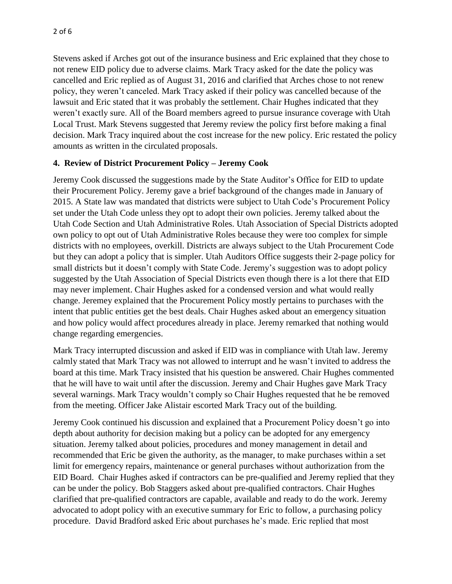Stevens asked if Arches got out of the insurance business and Eric explained that they chose to not renew EID policy due to adverse claims. Mark Tracy asked for the date the policy was cancelled and Eric replied as of August 31, 2016 and clarified that Arches chose to not renew policy, they weren't canceled. Mark Tracy asked if their policy was cancelled because of the lawsuit and Eric stated that it was probably the settlement. Chair Hughes indicated that they weren't exactly sure. All of the Board members agreed to pursue insurance coverage with Utah Local Trust. Mark Stevens suggested that Jeremy review the policy first before making a final decision. Mark Tracy inquired about the cost increase for the new policy. Eric restated the policy amounts as written in the circulated proposals.

#### **4. Review of District Procurement Policy – Jeremy Cook**

Jeremy Cook discussed the suggestions made by the State Auditor's Office for EID to update their Procurement Policy. Jeremy gave a brief background of the changes made in January of 2015. A State law was mandated that districts were subject to Utah Code's Procurement Policy set under the Utah Code unless they opt to adopt their own policies. Jeremy talked about the Utah Code Section and Utah Administrative Roles. Utah Association of Special Districts adopted own policy to opt out of Utah Administrative Roles because they were too complex for simple districts with no employees, overkill. Districts are always subject to the Utah Procurement Code but they can adopt a policy that is simpler. Utah Auditors Office suggests their 2-page policy for small districts but it doesn't comply with State Code. Jeremy's suggestion was to adopt policy suggested by the Utah Association of Special Districts even though there is a lot there that EID may never implement. Chair Hughes asked for a condensed version and what would really change. Jeremey explained that the Procurement Policy mostly pertains to purchases with the intent that public entities get the best deals. Chair Hughes asked about an emergency situation and how policy would affect procedures already in place. Jeremy remarked that nothing would change regarding emergencies.

Mark Tracy interrupted discussion and asked if EID was in compliance with Utah law. Jeremy calmly stated that Mark Tracy was not allowed to interrupt and he wasn't invited to address the board at this time. Mark Tracy insisted that his question be answered. Chair Hughes commented that he will have to wait until after the discussion. Jeremy and Chair Hughes gave Mark Tracy several warnings. Mark Tracy wouldn't comply so Chair Hughes requested that he be removed from the meeting. Officer Jake Alistair escorted Mark Tracy out of the building.

Jeremy Cook continued his discussion and explained that a Procurement Policy doesn't go into depth about authority for decision making but a policy can be adopted for any emergency situation. Jeremy talked about policies, procedures and money management in detail and recommended that Eric be given the authority, as the manager, to make purchases within a set limit for emergency repairs, maintenance or general purchases without authorization from the EID Board. Chair Hughes asked if contractors can be pre-qualified and Jeremy replied that they can be under the policy. Bob Staggers asked about pre-qualified contractors. Chair Hughes clarified that pre-qualified contractors are capable, available and ready to do the work. Jeremy advocated to adopt policy with an executive summary for Eric to follow, a purchasing policy procedure. David Bradford asked Eric about purchases he's made. Eric replied that most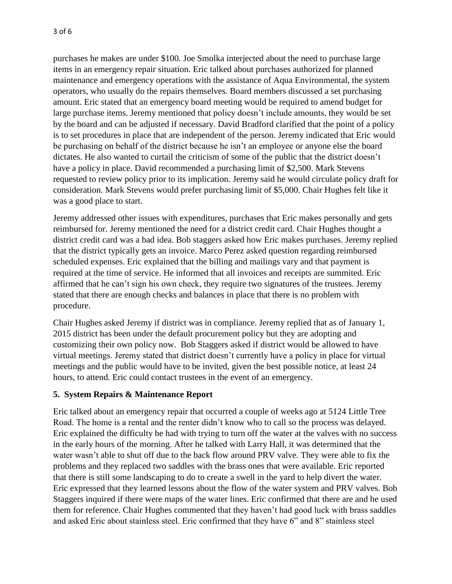purchases he makes are under \$100. Joe Smolka interjected about the need to purchase large items in an emergency repair situation. Eric talked about purchases authorized for planned maintenance and emergency operations with the assistance of Aqua Environmental, the system operators, who usually do the repairs themselves. Board members discussed a set purchasing amount. Eric stated that an emergency board meeting would be required to amend budget for large purchase items. Jeremy mentioned that policy doesn't include amounts, they would be set by the board and can be adjusted if necessary. David Bradford clarified that the point of a policy is to set procedures in place that are independent of the person. Jeremy indicated that Eric would be purchasing on behalf of the district because he isn't an employee or anyone else the board dictates. He also wanted to curtail the criticism of some of the public that the district doesn't have a policy in place. David recommended a purchasing limit of \$2,500. Mark Stevens requested to review policy prior to its implication. Jeremy said he would circulate policy draft for consideration. Mark Stevens would prefer purchasing limit of \$5,000. Chair Hughes felt like it was a good place to start.

Jeremy addressed other issues with expenditures, purchases that Eric makes personally and gets reimbursed for. Jeremy mentioned the need for a district credit card. Chair Hughes thought a district credit card was a bad idea. Bob staggers asked how Eric makes purchases. Jeremy replied that the district typically gets an invoice. Marco Perez asked question regarding reimbursed scheduled expenses. Eric explained that the billing and mailings vary and that payment is required at the time of service. He informed that all invoices and receipts are summited. Eric affirmed that he can't sign his own check, they require two signatures of the trustees. Jeremy stated that there are enough checks and balances in place that there is no problem with procedure.

Chair Hughes asked Jeremy if district was in compliance. Jeremy replied that as of January 1, 2015 district has been under the default procurement policy but they are adopting and customizing their own policy now. Bob Staggers asked if district would be allowed to have virtual meetings. Jeremy stated that district doesn't currently have a policy in place for virtual meetings and the public would have to be invited, given the best possible notice, at least 24 hours, to attend. Eric could contact trustees in the event of an emergency.

#### **5. System Repairs & Maintenance Report**

Eric talked about an emergency repair that occurred a couple of weeks ago at 5124 Little Tree Road. The home is a rental and the renter didn't know who to call so the process was delayed. Eric explained the difficulty he had with trying to turn off the water at the valves with no success in the early hours of the morning. After he talked with Larry Hall, it was determined that the water wasn't able to shut off due to the back flow around PRV valve. They were able to fix the problems and they replaced two saddles with the brass ones that were available. Eric reported that there is still some landscaping to do to create a swell in the yard to help divert the water. Eric expressed that they learned lessons about the flow of the water system and PRV valves. Bob Staggers inquired if there were maps of the water lines. Eric confirmed that there are and he used them for reference. Chair Hughes commented that they haven't had good luck with brass saddles and asked Eric about stainless steel. Eric confirmed that they have 6" and 8" stainless steel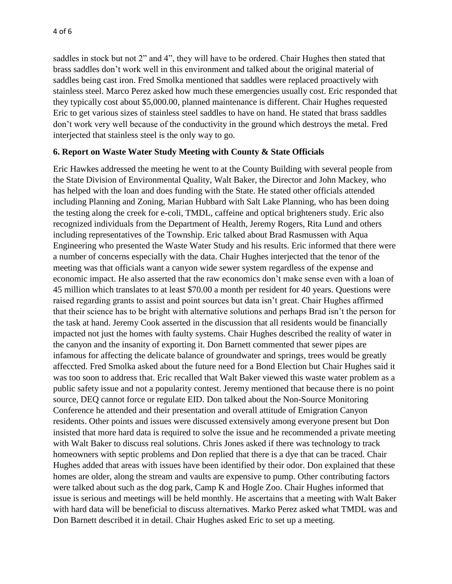saddles in stock but not 2" and 4", they will have to be ordered. Chair Hughes then stated that brass saddles don't work well in this environment and talked about the original material of saddles being cast iron. Fred Smolka mentioned that saddles were replaced proactively with stainless steel. Marco Perez asked how much these emergencies usually cost. Eric responded that they typically cost about \$5,000.00, planned maintenance is different. Chair Hughes requested Eric to get various sizes of stainless steel saddles to have on hand. He stated that brass saddles don't work very well because of the conductivity in the ground which destroys the metal. Fred interjected that stainless steel is the only way to go.

#### **6. Report on Waste Water Study Meeting with County & State Officials**

Eric Hawkes addressed the meeting he went to at the County Building with several people from the State Division of Environmental Quality, Walt Baker, the Director and John Mackey, who has helped with the loan and does funding with the State. He stated other officials attended including Planning and Zoning, Marian Hubbard with Salt Lake Planning, who has been doing the testing along the creek for e-coli, TMDL, caffeine and optical brighteners study. Eric also recognized individuals from the Department of Health, Jeremy Rogers, Rita Lund and others including representatives of the Township. Eric talked about Brad Rasmussen with Aqua Engineering who presented the Waste Water Study and his results. Eric informed that there were a number of concerns especially with the data. Chair Hughes interjected that the tenor of the meeting was that officials want a canyon wide sewer system regardless of the expense and economic impact. He also asserted that the raw economics don't make sense even with a loan of 45 million which translates to at least \$70.00 a month per resident for 40 years. Questions were raised regarding grants to assist and point sources but data isn't great. Chair Hughes affirmed that their science has to be bright with alternative solutions and perhaps Brad isn't the person for the task at hand. Jeremy Cook asserted in the discussion that all residents would be financially impacted not just the homes with faulty systems. Chair Hughes described the reality of water in the canyon and the insanity of exporting it. Don Barnett commented that sewer pipes are infamous for affecting the delicate balance of groundwater and springs, trees would be greatly affeccted. Fred Smolka asked about the future need for a Bond Election but Chair Hughes said it was too soon to address that. Eric recalled that Walt Baker viewed this waste water problem as a public safety issue and not a popularity contest. Jeremy mentioned that because there is no point source, DEQ cannot force or regulate EID. Don talked about the Non-Source Monitoring Conference he attended and their presentation and overall attitude of Emigration Canyon residents. Other points and issues were discussed extensively among everyone present but Don insisted that more hard data is required to solve the issue and he recommended a private meeting with Walt Baker to discuss real solutions. Chris Jones asked if there was technology to track homeowners with septic problems and Don replied that there is a dye that can be traced. Chair Hughes added that areas with issues have been identified by their odor. Don explained that these homes are older, along the stream and vaults are expensive to pump. Other contributing factors were talked about such as the dog park, Camp K and Hogle Zoo. Chair Hughes informed that issue is serious and meetings will be held monthly. He ascertains that a meeting with Walt Baker with hard data will be beneficial to discuss alternatives. Marko Perez asked what TMDL was and Don Barnett described it in detail. Chair Hughes asked Eric to set up a meeting.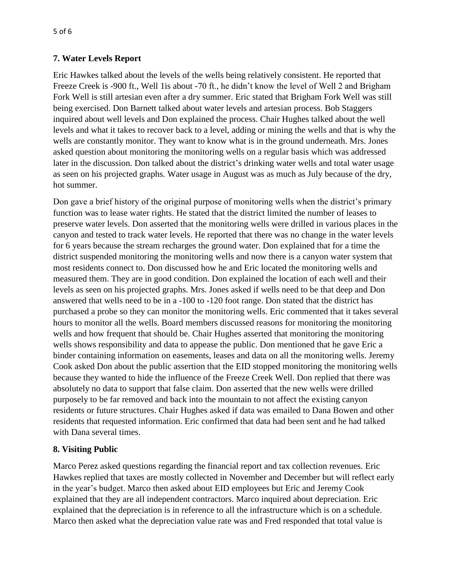### **7. Water Levels Report**

Eric Hawkes talked about the levels of the wells being relatively consistent. He reported that Freeze Creek is -900 ft., Well 1is about -70 ft., he didn't know the level of Well 2 and Brigham Fork Well is still artesian even after a dry summer. Eric stated that Brigham Fork Well was still being exercised. Don Barnett talked about water levels and artesian process. Bob Staggers inquired about well levels and Don explained the process. Chair Hughes talked about the well levels and what it takes to recover back to a level, adding or mining the wells and that is why the wells are constantly monitor. They want to know what is in the ground underneath. Mrs. Jones asked question about monitoring the monitoring wells on a regular basis which was addressed later in the discussion. Don talked about the district's drinking water wells and total water usage as seen on his projected graphs. Water usage in August was as much as July because of the dry, hot summer.

Don gave a brief history of the original purpose of monitoring wells when the district's primary function was to lease water rights. He stated that the district limited the number of leases to preserve water levels. Don asserted that the monitoring wells were drilled in various places in the canyon and tested to track water levels. He reported that there was no change in the water levels for 6 years because the stream recharges the ground water. Don explained that for a time the district suspended monitoring the monitoring wells and now there is a canyon water system that most residents connect to. Don discussed how he and Eric located the monitoring wells and measured them. They are in good condition. Don explained the location of each well and their levels as seen on his projected graphs. Mrs. Jones asked if wells need to be that deep and Don answered that wells need to be in a -100 to -120 foot range. Don stated that the district has purchased a probe so they can monitor the monitoring wells. Eric commented that it takes several hours to monitor all the wells. Board members discussed reasons for monitoring the monitoring wells and how frequent that should be. Chair Hughes asserted that monitoring the monitoring wells shows responsibility and data to appease the public. Don mentioned that he gave Eric a binder containing information on easements, leases and data on all the monitoring wells. Jeremy Cook asked Don about the public assertion that the EID stopped monitoring the monitoring wells because they wanted to hide the influence of the Freeze Creek Well. Don replied that there was absolutely no data to support that false claim. Don asserted that the new wells were drilled purposely to be far removed and back into the mountain to not affect the existing canyon residents or future structures. Chair Hughes asked if data was emailed to Dana Bowen and other residents that requested information. Eric confirmed that data had been sent and he had talked with Dana several times.

## **8. Visiting Public**

Marco Perez asked questions regarding the financial report and tax collection revenues. Eric Hawkes replied that taxes are mostly collected in November and December but will reflect early in the year's budget. Marco then asked about EID employees but Eric and Jeremy Cook explained that they are all independent contractors. Marco inquired about depreciation. Eric explained that the depreciation is in reference to all the infrastructure which is on a schedule. Marco then asked what the depreciation value rate was and Fred responded that total value is